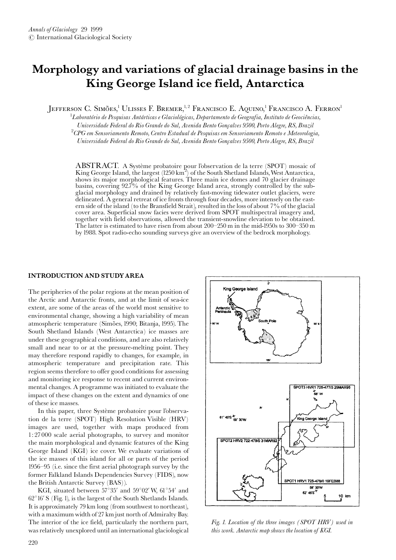# Morphology and variations of glacial drainage basins in the King George Island ice field, Antarctica

JEFFERSON C. SIMÕES,<sup>1</sup> ULISSES F. BREMER,<sup>1,2</sup> FRANCISCO E. AQUINO,<sup>1</sup> FRANCISCO A. FERRON<sup>1</sup>

 ${}^{1}$ Laboratório de Pesquisas Antárticas e Glaciológicas, Departamento de Geografia, Instituto de Geociências, Universidade Federal do Rio Grande do Sul, Avenida Bento Gonçalves 9500, Porto Alegre, RS, Brazil  $\mathrm{^{2}CPG}$  em Sensoriamento Remoto, Centro Estadual de Pesquisas em Sensoriamento Remoto e Meteorologia, Universidade Federal do Rio Grande do Sul, Avenida Bento Gonçalves 9500, Porto Alegre, RS, Brazil

ABSTRACT. A Système probatoire pour l'observation de la terre (SPOT) mosaic of King George Island, the largest  $(1250 \text{ km}^2)$  of the South Shetland Islands, West Antarctica, shows its major morphological features. Three main ice domes and 70 glacier drainage basins, covering 92.7% of the King George Island area, strongly controlled by the subglacial morphology and drained by relatively fast-moving tidewater outlet glaciers, were delineated. A general retreat of ice fronts through four decades, more intensely on the eastern side of the island (to the Bransfield Strait), resulted in the loss of about 7% of the glacial cover area. Superficial snow facies were derived from SPOT multispectral imagery and, together with field observations, allowed the transient-snowline elevation to be obtained. The latter is estimated to have risen from about 200-250 m in the mid-1950s to 300-350 m by 1988. Spot radio-echo sounding surveys give an overview of the bedrock morphology.

#### **INTRODUCTION AND STUDY AREA**

The peripheries of the polar regions at the mean position of the Arctic and Antarctic fronts, and at the limit of sea-ice extent, are some of the areas of the world most sensitive to environmental change, showing a high variability of mean atmospheric temperature (Simões, 1990; Bitanja, 1995). The South Shetland Islands (West Antarctica) ice masses are under these geographical conditions, and are also relatively small and near to or at the pressure-melting point. They may therefore respond rapidly to changes, for example, in atmospheric temperature and precipitation rate. This region seems therefore to offer good conditions for assessing and monitoring ice response to recent and current environmental changes. A programme was initiated to evaluate the impact of these changes on the extent and dynamics of one of these ice masses.

In this paper, three Système probatoire pour l'observation de la terre (SPOT) High Resolution Visible (HRV) images are used, together with maps produced from 1:27000 scale aerial photographs, to survey and monitor the main morphological and dynamic features of the King George Island (KGI) ice cover. We evaluate variations of the ice masses of this island for all or parts of the period 1956–95 (i.e. since the first aerial photograph survey by the former Falkland Islands Dependencies Survey (FIDS), now the British Antarctic Survey (BAS)).

KGI, situated between 57°35' and 59°02' W, 61°54' and  $62^{\circ}16'$  S (Fig. 1), is the largest of the South Shetlands Islands. It is approximately 79 km long (from southwest to northeast), with a maximum width of 27 km just north of Admiralty Bay. The interior of the ice field, particularly the northern part, was relatively unexplored until an international glaciological



Fig. 1. Location of the three images (SPOT HRV) used in this work. Antarctic map shows the location of KGI.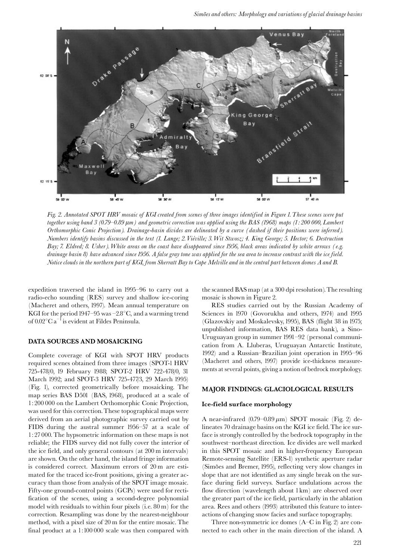

Fig. 2. Annotated SPOT HRV mosaic of KGI created from scenes of three images identified in Figure 1. These scenes were put together using band 3 (0.79–0.89 µm) and geometric correction was applied using the BAS (1968) maps (1:200 000, Lambert Orthomorphic Conic Projection). Drainage-basin divides are delineated by a curve (dashed if their positions were inferred). Numbers identify basins discussed in the text (1. Lange; 2. Viéville; 3. Wit Stwosz; 4. King George; 5. Hector; 6. Destruction Bay; 7. Eldred; 8. Usher). White areas on the coast have disappeared since 1956, black areas indicated by white arrows (e.g. drainage basin 8) have advanced since 1956. A false gray tone was applied for the sea area to increase contrast with the ice field. Notice clouds in the northern part of KGI, from Sherratt Bay to Cape Melville and in the central part between domes A and B.

expedition traversed the island in 1995–96 to carry out a radio-echo sounding (RES) survey and shallow ice-coring (Macheret and others, 1997). Mean annual temperature on KGI for the period 1947–95 was  $-2.8^{\circ}$ C, and a warming trend of  $0.02^{\circ}$ C a<sup>-1</sup> is evident at Fildes Peninsula.

# DATA SOURCES AND MOSAICKING

Complete coverage of KGI with SPOT HRV products required scenes obtained from three images (SPOT-1 HRV 725-478/0, 19 February 1988; SPOT-2 HRV 722-478/0, 31 March 1992; and SPOT-3 HRV 725-477/3, 29 March 1995) (Fig. 1), corrected geometrically before mosaicking. The map series BAS D501 (BAS, 1968), produced at a scale of 1:200 000 on the Lambert Orthomorphic Conic Projection, was used for this correction. These topographical maps were derived from an aerial photographic survey carried out by FIDS during the austral summer 1956-57 at a scale of  $1:27000$ . The hypsometric information on these maps is not reliable; the FIDS survey did not fully cover the interior of the ice field, and only general contours (at 200 m intervals) are shown. On the other hand, the island fringe information is considered correct. Maximum errors of 20 m are estimated for the traced ice-front positions, giving a greater accuracy than those from analysis of the SPOT image mosaic. Fifty-one ground-control points (GCPs) were used for rectification of the scenes, using a second-degree polynomial model with residuals to within four pixels (i.e. 80 m) for the correction. Resampling was done by the nearest-neighbour method, with a pixel size of 20 m for the entire mosaic. The final product at a 1:100 000 scale was then compared with

the scanned BAS map (at a 300 dpi resolution). The resulting mosaic is shown in Figure 2.

RES studies carried out by the Russian Academy of Sciences in 1970 (Govorukha and others, 1974) and 1995 (Glazovskiy and Moskalevsky, 1995), BAS (flight 38 in 1975; unpublished information, BAS RES data bank), a Sino-Uruguayan group in summer 1991-92 (personal communication from A. Lluberas, Uruguayan Antarctic Institute, 1992) and a Russian-Brazilian joint operation in 1995–96 (Macheret and others, 1997) provide ice-thickness measurements at several points, giving a notion of bedrock morphology.

## MAJOR FINDINGS: GLACIOLOGICAL RESULTS

#### Ice-field surface morphology

A near-infrared  $(0.79-0.89 \,\mu m)$  SPOT mosaic (Fig. 2) delineates 70 drainage basins on the KGI ice field. The ice surface is strongly controlled by the bedrock topography in the southwest-northeast direction. Ice divides are well marked in this SPOT mosaic and in higher-frequency European Remote-sensing Satellite (ERS-I) synthetic aperture radar (Simões and Bremer, 1995), reflecting very slow changes in slope that are not identified as any single break on the surface during field surveys. Surface undulations across the flow direction (wavelength about 1 km) are observed over the greater part of the ice field, particularly in the ablation area. Rees and others (1993) attributed this feature to interactions of changing snow facies and surface topography.

Three non-symmetric ice domes  $(A-C$  in Fig. 2) are connected to each other in the main direction of the island. A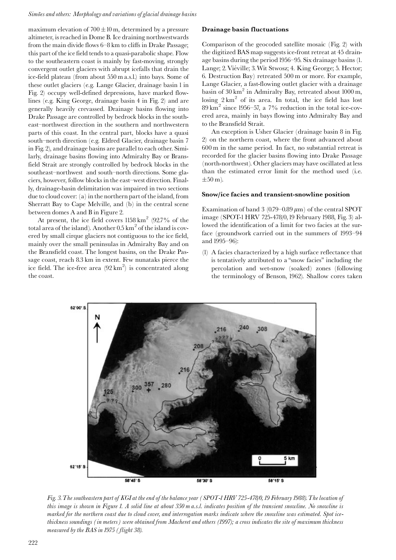#### Simões and others: Morphology and variations of glacial drainage basins

maximum elevation of  $700 \pm 10$  m, determined by a pressure altimeter, is reached in Dome B. Ice draining northwestwards from the main divide flows 6-8 km to cliffs in Drake Passage; this part of the ice field tends to a quasi-parabolic shape. Flow to the southeastern coast is mainly by fast-moving, strongly convergent outlet glaciers with abrupt icefalls that drain the ice-field plateau (from about 550 m a.s.l.) into bays. Some of these outlet glaciers (e.g. Lange Glacier, drainage basin 1 in Fig. 2) occupy well-defined depressions, have marked flowlines (e.g. King George, drainage basin 4 in Fig. 2) and are generally heavily crevassed. Drainage basins flowing into Drake Passage are controlled by bedrock blocks in the southeast-northwest direction in the southern and northwestern parts of this coast. In the central part, blocks have a quasi south-north direction (e.g. Eldred Glacier, drainage basin 7 in Fig. 2), and drainage basins are parallel to each other. Similarly, drainage basins flowing into Admiralty Bay or Bransfield Strait are strongly controlled by bedrock blocks in the southeast-northwest and south-north directions. Some glaciers, however, follow blocks in the east-west direction. Finally, drainage-basin delimitation was impaired in two sections due to cloud cover: (a) in the northern part of the island, from Sherratt Bay to Cape Melville, and (b) in the central scene between domes A and B in Figure 2.

At present, the ice field covers  $1158\,\mathrm{km}^2$  (92.7% of the total area of the island). Another  $0.5 \text{ km}^2$  of the island is covered by small cirque glaciers not contiguous to the ice field, mainly over the small peninsulas in Admiralty Bay and on the Bransfield coast. The longest basins, on the Drake Passage coast, reach 8.3 km in extent. Few nunataks pierce the ice field. The ice-free area  $(92 \text{ km}^2)$  is concentrated along the coast.

## Drainage basin fluctuations

Comparison of the geocoded satellite mosaic (Fig. 2) with the digitized BAS map suggests ice-front retreat at 45 drainage basins during the period 1956–95. Six drainage basins (1. Lange; 2. Viéville; 3. Wit Stwosz; 4. King George; 5. Hector; 6. Destruction Bay) retreated 500 m or more. For example, Lange Glacier, a fast-flowing outlet glacier with a drainage basin of 30 km<sup>2</sup> in Admiralty Bay, retreated about 1000 m, losing  $2 \text{ km}^2$  of its area. In total, the ice field has lost  $89 \text{ km}^2$  since 1956–57, a 7% reduction in the total ice-covered area, mainly in bays flowing into Admiralty Bay and to the Bransfield Strait.

An exception is Usher Glacier (drainage basin 8 in Fig. 2) on the northern coast, where the front advanced about 600 m in the same period. In fact, no substantial retreat is recorded for the glacier basins flowing into Drake Passage (north-northwest). Other glaciers may have oscillated at less than the estimated error limit for the method used (i.e.  $\pm 50$  m).

#### Snow/ice facies and transient-snowline position

Examination of band 3 (0.79–0.89  $\mu$ m) of the central SPOT image (SPOT-1 HRV 725-478/0, 19 February 1988, Fig. 3) allowed the identification of a limit for two facies at the surface (groundwork carried out in the summers of 1993-94 and 1995-96):

(l) A facies characterized by a high surface reflectance that is tentatively attributed to a "snow facies" including the percolation and wet-snow (soaked) zones (following the terminology of Benson, 1962). Shallow cores taken



Fig. 3. The southeastern part of KGI at the end of the balance year (SPOT-1 HRV 725-478/0, 19 February 1988). The location of this image is shown in Figure 1. A solid line at about 350 m a.s.l. indicates position of the transient snowline. No snowline is marked for the northern coast due to cloud cover, and interrogation marks indicate where the snowline was estimated. Spot icethickness soundings (in meters) were obtained from Macheret and others (1997); a cross indicates the site of maximum thickness measured by the BAS in 1975 (flight 38).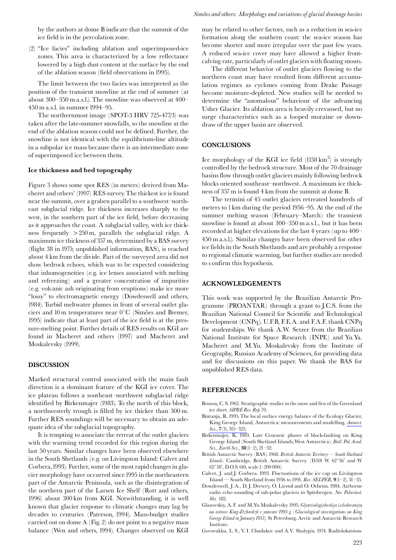by the authors at dome B indicate that the summit of the ice field is in the percolation zone.

(2) "Ice facies" including ablation and superimposed-ice zones. This area is characterized by a low reflectance lowered by a high dust content at the surface by the end of the ablation season (field observations in 1995).

The limit between the two facies was interpreted as the position of the transient snowline at the end of summer (at about 300-350 m a.s.l.). The snowline was observed at 400-450 m a.s.l. in summer 1994–95.

The northernmost image (SPOT-3 HRV 725-477/3) was taken after the late-summer snowfalls, so the snowline at the end of the ablation season could not be defined. Further, the snowline is not identical with the equilibrium-line altitude in a subpolar ice mass because there is an intermediate zone of superimposed ice between them.

#### Ice thickness and bed topography

Figure 3 shows some spot RES (in meters) derived from Macheret and others' (1997) RES survey. The thickest ice is found near the summit, over a graben parallel to a southwest-northeast subglacial ridge. Ice thickness increases sharply to the west, in the southern part of the ice field, before decreasing as it approaches the coast. A subglacial valley, with ice thickness frequently  $>250 \text{ m}$ , parallels the subglacial ridge. A maximum ice thickness of 357 m, determined by a BAS survey (flight 38 in 1975; unpublished information, BAS), is reached about 4 km from the divide. Part of the surveyed area did not show bedrock echoes, which was to be expected considering that inhomogeneities (e.g. ice lenses associated with melting and refreezing) and a greater concentration of impurities (e.g. volcanic ash originating from eruptions) make ice more "lossy" to electromagnetic energy (Dowdeswell and others, 1984). Turbid meltwater plumes in front of several outlet glaciers and 10 m temperatures near  $0^{\circ}$ C (Simões and Bremer, 1995) indicate that at least part of the ice field is at the pressure-melting point. Further details of RES results on KGI are found in Macheret and others (1997) and Macheret and Moskalevsky (1999).

## **DISCUSSION**

Marked structural control associated with the main fault direction is a dominant feature of the KGI ice cover. The ice plateau follows a southeast-northwest subglacial ridge identified by Birkenmajer (1983). To the north of this block, a northwesterly trough is filled by ice thicker than 300 m. Further RES soundings will be necessary to obtain an adequate idea of the subglacial topography.

It is tempting to associate the retreat of the outlet glaciers with the warming trend recorded for this region during the last 50 years. Similar changes have been observed elsewhere in the South Shetlands (e.g. on Livingston Island: Calvet and Corbera, 1993). Further, some of the most rapid changes in glacier morphology have occurred since 1995 in the northeastern part of the Antarctic Peninsula, such as the disintegration of the northern part of the Larsen Ice Shelf (Rott and others, 1996) about 300 km from KGI. Notwithstanding, it is well known that glacier response to climatic changes may lag by decades to centuries (Paterson, 1994). Mass-budget studies carried out on dome A (Fig. 2) do not point to a negative mass balance (Wen and others, 1994). Changes observed on KGI

may be related to other factors, such as a reduction in sea-ice formation along the southern coast: the sea-ice season has become shorter and more irregular over the past few years. A reduced sea-ice cover may have allowed a higher frontcalving rate, particularly of outlet glaciers with floating snouts.

The different behavior of outlet glaciers flowing to the northern coast may have resulted from different accumulation regimes as cyclones coming from Drake Passage become moisture-depleted. New studies will be needed to determine the "anomalous" behaviour of the advancing Usher Glacier. Its ablation area is heavily crevassed, but no surge characteristics such as a looped moraine or downdraw of the upper basin are observed.

#### **CONCLUSIONS**

Ice morphology of the KGI ice field  $(1158 \text{ km}^2)$  is strongly controlled by the bedrock structure. Most of the 70 drainage basins flow through outlet glaciers mainly following bedrock blocks oriented southeast-northwest. A maximum ice thickness of 357 m is found 4 km from the summit at dome B.

The termini of 45 outlet glaciers retreated hundreds of meters to 1 km during the period 1956–95. At the end of the summer melting season (February–March) the transient snowline is found at about 300-350 m a.s.l., but it has been recorded at higher elevations for the last 4 years (up to 400-450 m a.s.l.). Similar changes have been observed for other ice fields in the South Shetlands and are probably a response to regional climatic warming, but further studies are needed to confirm this hypothesis.

#### **ACKNOWLEDGEMENTS**

This work was supported by the Brazilian Antarctic Programme (PROANTAR) through a grant to J.C.S. from the Brazilian National Council for Scientific and Technological Development (CNPq). U.F.B, F.E.A. and F.A.F. thank CNPq for studentships. We thank A.W. Setzer from the Brazilian National Institute for Space Research (INPE) and Yu.Ya. Macheret and M.Yu. Moskalevsky from the Institute of Geography, Russian Academy of Sciences, for providing data and for discussions on this paper. We thank the BAS for unpublished RES data.

#### **REFERENCES**

- Benson, C. S. 1962. Stratigraphic studies in the snow and firn of the Greenland ice sheet. SIPRE Res. Rep. 70.
- Bintanja, R. 1995. The local surface energy balance of the Ecology Glacier, King George Island, Antarctica: measurements and modelling. Antarct. Sci., 7(3), 315-325.
- Birkenmajer, K. 1983. Late Cenozoic phases of block-faulting on King George Island (South Shetland Islands, West Antarctica). Bull. Pol. Acad. Sci., Earth Sci., 30(1-2), 21-32.
- British Antarctic Survey (BAS). 1968. British Antarctic Territory South Shetland Islands. Cambridge, British Antarctic Survey. (D501 W 62°56' and W 62°58′, D.O.S. 610, scale 1:200 000.)
- Calvet, J. and J. Corbera. 1993. Fluctuations of the ice cap on Livingston Island — South Shetland from 1956 to 1991. Rev. SELPER,  $9(1-2)$ , 31-35.
- Dowdeswell, J. A., D. J. Drewry, O. Liestøl and O. Orheim. 1984. Airborne radio echo sounding of sub-polar glaciers in Spitsbergen. Nor. Polarinst. Skr. 182.
- Glazovskiy, A. F. and M. Yu. Moskalevsky. 1995. Glyatsiologicheskiye issledovaniya na ostrove King-Dzhordzh v yanvare 1995 g [Glaciological investigations on King George Island in January 1955]. St Petersburg, Arctic and Antarctic Research Institute.
- Govorukha, L. S., V. I. Chudakov and A.V. Shalygin. 1974. Radiolokatsion-